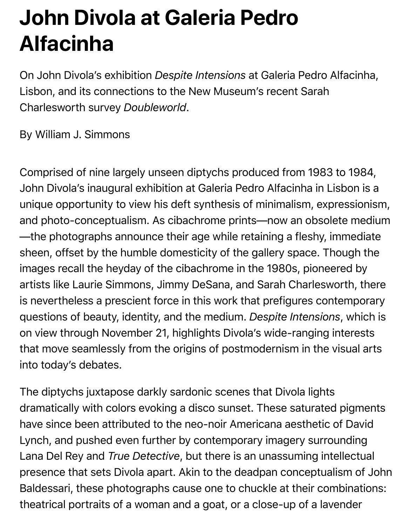## **John Divola at Galeria Pedro Alfacinha**

On John Divola's exhibition *Despite Intensions* at Galeria Pedro Alfacinha, Lisbon, and its connections to the New Museum's recent Sarah Charlesworth survey *Doubleworld*.

By William J. Simmons

Comprised of nine largely unseen diptychs produced from 1983 to 1984, John Divola's inaugural exhibition at Galeria Pedro Alfacinha in Lisbon is a unique opportunity to view his deft synthesis of minimalism, expressionism, and photo-conceptualism. As cibachrome prints—now an obsolete medium —the photographs announce their age while retaining a fleshy, immediate sheen, offset by the humble domesticity of the gallery space. Though the images recall the heyday of the cibachrome in the 1980s, pioneered by artists like Laurie Simmons, Jimmy DeSana, and Sarah Charlesworth, there is nevertheless a prescient force in this work that prefigures contemporary questions of beauty, identity, and the medium. *Despite Intensions*, which is on view through November 21, highlights Divola's wide-ranging interests that move seamlessly from the origins of postmodernism in the visual arts into today's debates.

The diptychs juxtapose darkly sardonic scenes that Divola lights dramatically with colors evoking a disco sunset. These saturated pigments have since been attributed to the neo-noir Americana aesthetic of David Lynch, and pushed even further by contemporary imagery surrounding Lana Del Rey and *True Detective*, but there is an unassuming intellectual presence that sets Divola apart. Akin to the deadpan conceptualism of John Baldessari, these photographs cause one to chuckle at their combinations: theatrical portraits of a woman and a goat, or a close-up of a lavender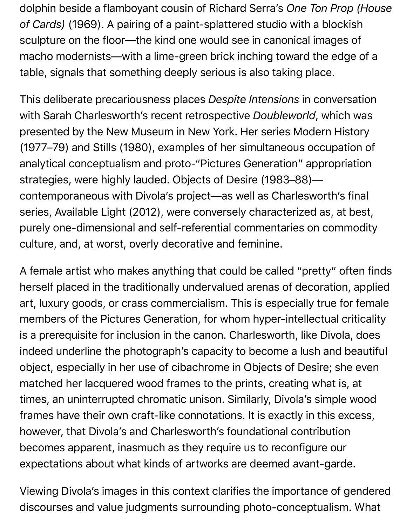dolphin beside a flamboyant cousin of Richard Serra's *One Ton Prop (House of Cards)* (1969). A pairing of a paint-splattered studio with a blockish sculpture on the floor—the kind one would see in canonical images of macho modernists—with a lime-green brick inching toward the edge of a table, signals that something deeply serious is also taking place.

This deliberate precariousness places *Despite Intensions* in conversation with Sarah Charlesworth's recent retrospective *Doubleworld*, which was presented by the New Museum in New York. Her series Modern History (1977–79) and Stills (1980), examples of her simultaneous occupation of analytical conceptualism and proto-"Pictures Generation" appropriation strategies, were highly lauded. Objects of Desire (1983–88) contemporaneous with Divola's project—as well as Charlesworth's final series, Available Light (2012), were conversely characterized as, at best, purely one-dimensional and self-referential commentaries on commodity culture, and, at worst, overly decorative and feminine.

A female artist who makes anything that could be called "pretty" often finds herself placed in the traditionally undervalued arenas of decoration, applied art, luxury goods, or crass commercialism. This is especially true for female members of the Pictures Generation, for whom hyper-intellectual criticality is a prerequisite for inclusion in the canon. Charlesworth, like Divola, does indeed underline the photograph's capacity to become a lush and beautiful object, especially in her use of cibachrome in Objects of Desire; she even matched her lacquered wood frames to the prints, creating what is, at times, an uninterrupted chromatic unison. Similarly, Divola's simple wood frames have their own craft-like connotations. It is exactly in this excess, however, that Divola's and Charlesworth's foundational contribution becomes apparent, inasmuch as they require us to reconfigure our expectations about what kinds of artworks are deemed avant-garde.

Viewing Divola's images in this context clarifies the importance of gendered discourses and value judgments surrounding photo-conceptualism. What